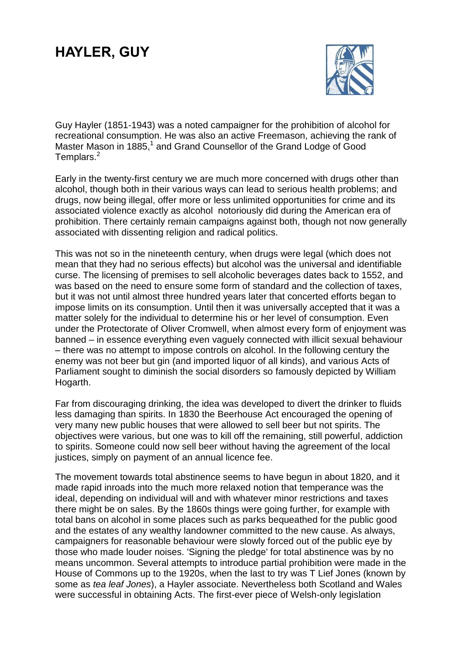## **HAYLER, GUY**



Guy Hayler (1851-1943) was a noted campaigner for the prohibition of alcohol for recreational consumption. He was also an active Freemason, achieving the rank of Master Mason in 1885,<sup>1</sup> and Grand Counsellor of the Grand Lodge of Good Templars.<sup>2</sup>

Early in the twenty-first century we are much more concerned with drugs other than alcohol, though both in their various ways can lead to serious health problems; and drugs, now being illegal, offer more or less unlimited opportunities for crime and its associated violence exactly as alcohol notoriously did during the American era of prohibition. There certainly remain campaigns against both, though not now generally associated with dissenting religion and radical politics.

This was not so in the nineteenth century, when drugs were legal (which does not mean that they had no serious effects) but alcohol was the universal and identifiable curse. The licensing of premises to sell alcoholic beverages dates back to 1552, and was based on the need to ensure some form of standard and the collection of taxes, but it was not until almost three hundred years later that concerted efforts began to impose limits on its consumption. Until then it was universally accepted that it was a matter solely for the individual to determine his or her level of consumption. Even under the Protectorate of Oliver Cromwell, when almost every form of enjoyment was banned – in essence everything even vaguely connected with illicit sexual behaviour – there was no attempt to impose controls on alcohol. In the following century the enemy was not beer but gin (and imported liquor of all kinds), and various Acts of Parliament sought to diminish the social disorders so famously depicted by William Hogarth.

Far from discouraging drinking, the idea was developed to divert the drinker to fluids less damaging than spirits. In 1830 the Beerhouse Act encouraged the opening of very many new public houses that were allowed to sell beer but not spirits. The objectives were various, but one was to kill off the remaining, still powerful, addiction to spirits. Someone could now sell beer without having the agreement of the local justices, simply on payment of an annual licence fee.

The movement towards total abstinence seems to have begun in about 1820, and it made rapid inroads into the much more relaxed notion that temperance was the ideal, depending on individual will and with whatever minor restrictions and taxes there might be on sales. By the 1860s things were going further, for example with total bans on alcohol in some places such as parks bequeathed for the public good and the estates of any wealthy landowner committed to the new cause. As always, campaigners for reasonable behaviour were slowly forced out of the public eye by those who made louder noises. 'Signing the pledge' for total abstinence was by no means uncommon. Several attempts to introduce partial prohibition were made in the House of Commons up to the 1920s, when the last to try was T Lief Jones (known by some as *tea leaf Jones*), a Hayler associate. Nevertheless both Scotland and Wales were successful in obtaining Acts. The first-ever piece of Welsh-only legislation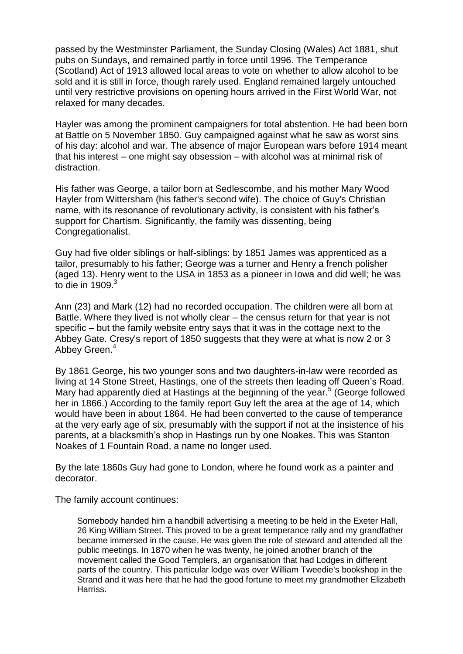passed by the Westminster Parliament, the Sunday Closing (Wales) Act 1881, shut pubs on Sundays, and remained partly in force until 1996. The Temperance (Scotland) Act of 1913 allowed local areas to vote on whether to allow alcohol to be sold and it is still in force, though rarely used. England remained largely untouched until very restrictive provisions on opening hours arrived in the First World War, not relaxed for many decades.

Hayler was among the prominent campaigners for total abstention. He had been born at Battle on 5 November 1850. Guy campaigned against what he saw as worst sins of his day: alcohol and war. The absence of major European wars before 1914 meant that his interest – one might say obsession – with alcohol was at minimal risk of distraction.

His father was George, a tailor born at Sedlescombe, and his mother Mary Wood Hayler from Wittersham (his father's second wife). The choice of Guy's Christian name, with its resonance of revolutionary activity, is consistent with his father's support for Chartism. Significantly, the family was dissenting, being Congregationalist.

Guy had five older siblings or half-siblings: by 1851 James was apprenticed as a tailor, presumably to his father; George was a turner and Henry a french polisher (aged 13). Henry went to the USA in 1853 as a pioneer in Iowa and did well; he was to die in  $1909.<sup>3</sup>$ 

Ann (23) and Mark (12) had no recorded occupation. The children were all born at Battle. Where they lived is not wholly clear – the census return for that year is not specific – but the family website entry says that it was in the cottage next to the Abbey Gate. Cresy's report of 1850 suggests that they were at what is now 2 or 3 Abbey Green.<sup>4</sup>

By 1861 George, his two younger sons and two daughters-in-law were recorded as living at 14 Stone Street, Hastings, one of the streets then leading off Queen's Road. Mary had apparently died at Hastings at the beginning of the year.<sup>5</sup> (George followed her in 1866.) According to the family report Guy left the area at the age of 14, which would have been in about 1864. He had been converted to the cause of temperance at the very early age of six, presumably with the support if not at the insistence of his parents, at a blacksmith's shop in Hastings run by one Noakes. This was Stanton Noakes of 1 Fountain Road, a name no longer used.

By the late 1860s Guy had gone to London, where he found work as a painter and decorator.

The family account continues:

Somebody handed him a handbill advertising a meeting to be held in the Exeter Hall, 26 King William Street. This proved to be a great temperance rally and my grandfather became immersed in the cause. He was given the role of steward and attended all the public meetings. In 1870 when he was twenty, he joined another branch of the movement called the Good Templers, an organisation that had Lodges in different parts of the country. This particular lodge was over William Tweedie's bookshop in the Strand and it was here that he had the good fortune to meet my grandmother Elizabeth Harriss.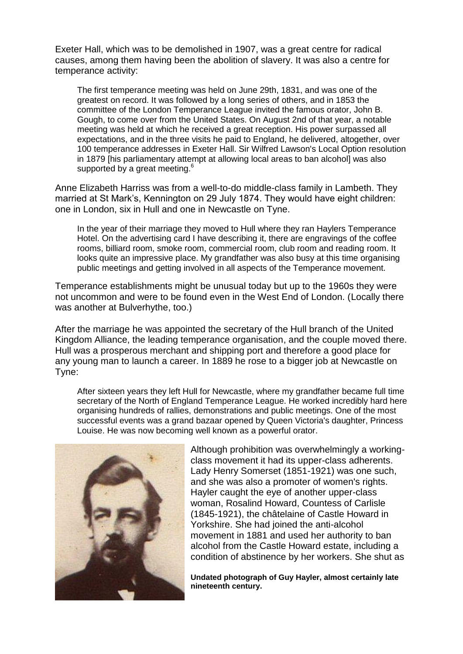Exeter Hall, which was to be demolished in 1907, was a great centre for radical causes, among them having been the abolition of slavery. It was also a centre for temperance activity:

The first temperance meeting was held on June 29th, 1831, and was one of the greatest on record. It was followed by a long series of others, and in 1853 the committee of the London Temperance League invited the famous orator, John B. Gough, to come over from the United States. On August 2nd of that year, a notable meeting was held at which he received a great reception. His power surpassed all expectations, and in the three visits he paid to England, he delivered, altogether, over 100 temperance addresses in Exeter Hall. Sir Wilfred Lawson's Local Option resolution in 1879 [his parliamentary attempt at allowing local areas to ban alcohol] was also supported by a great meeting.<sup>6</sup>

Anne Elizabeth Harriss was from a well-to-do middle-class family in Lambeth. They married at St Mark's, Kennington on 29 July 1874. They would have eight children: one in London, six in Hull and one in Newcastle on Tyne.

In the year of their marriage they moved to Hull where they ran Haylers Temperance Hotel. On the advertising card I have describing it, there are engravings of the coffee rooms, billiard room, smoke room, commercial room, club room and reading room. It looks quite an impressive place. My grandfather was also busy at this time organising public meetings and getting involved in all aspects of the Temperance movement.

Temperance establishments might be unusual today but up to the 1960s they were not uncommon and were to be found even in the West End of London. (Locally there was another at Bulverhythe, too.)

After the marriage he was appointed the secretary of the Hull branch of the United Kingdom Alliance, the leading temperance organisation, and the couple moved there. Hull was a prosperous merchant and shipping port and therefore a good place for any young man to launch a career. In 1889 he rose to a bigger job at Newcastle on Tyne:

After sixteen years they left Hull for Newcastle, where my grandfather became full time secretary of the North of England Temperance League. He worked incredibly hard here organising hundreds of rallies, demonstrations and public meetings. One of the most successful events was a grand bazaar opened by Queen Victoria's daughter, Princess Louise. He was now becoming well known as a powerful orator.



Although prohibition was overwhelmingly a workingclass movement it had its upper-class adherents. Lady Henry Somerset (1851-1921) was one such, and she was also a promoter of women's rights. Hayler caught the eye of another upper-class woman, Rosalind Howard, Countess of Carlisle (1845-1921), the châtelaine of Castle Howard in Yorkshire. She had joined the anti-alcohol movement in 1881 and used her authority to ban alcohol from the Castle Howard estate, including a condition of abstinence by her workers. She shut as

**Undated photograph of Guy Hayler, almost certainly late nineteenth century.**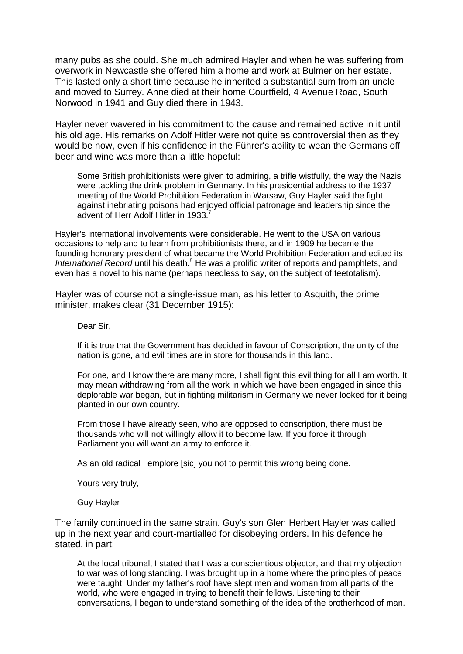many pubs as she could. She much admired Hayler and when he was suffering from overwork in Newcastle she offered him a home and work at Bulmer on her estate. This lasted only a short time because he inherited a substantial sum from an uncle and moved to Surrey. Anne died at their home Courtfield, 4 Avenue Road, South Norwood in 1941 and Guy died there in 1943.

Hayler never wavered in his commitment to the cause and remained active in it until his old age. His remarks on Adolf Hitler were not quite as controversial then as they would be now, even if his confidence in the Führer's ability to wean the Germans off beer and wine was more than a little hopeful:

Some British prohibitionists were given to admiring, a trifle wistfully, the way the Nazis were tackling the drink problem in Germany. In his presidential address to the 1937 meeting of the World Prohibition Federation in Warsaw, Guy Hayler said the fight against inebriating poisons had enjoyed official patronage and leadership since the advent of Herr Adolf Hitler in 1933.

Hayler's international involvements were considerable. He went to the USA on various occasions to help and to learn from prohibitionists there, and in 1909 he became the founding honorary president of what became the World Prohibition Federation and edited its International Record until his death.<sup>8</sup> He was a prolific writer of reports and pamphlets, and even has a novel to his name (perhaps needless to say, on the subject of teetotalism).

Hayler was of course not a single-issue man, as his letter to Asquith, the prime minister, makes clear (31 December 1915):

Dear Sir,

If it is true that the Government has decided in favour of Conscription, the unity of the nation is gone, and evil times are in store for thousands in this land.

For one, and I know there are many more, I shall fight this evil thing for all I am worth. It may mean withdrawing from all the work in which we have been engaged in since this deplorable war began, but in fighting militarism in Germany we never looked for it being planted in our own country.

From those I have already seen, who are opposed to conscription, there must be thousands who will not willingly allow it to become law. If you force it through Parliament you will want an army to enforce it.

As an old radical I emplore [sic] you not to permit this wrong being done.

Yours very truly,

Guy Hayler

The family continued in the same strain. Guy's son Glen Herbert Hayler was called up in the next year and court-martialled for disobeying orders. In his defence he stated, in part:

At the local tribunal, I stated that I was a conscientious objector, and that my objection to war was of long standing. I was brought up in a home where the principles of peace were taught. Under my father's roof have slept men and woman from all parts of the world, who were engaged in trying to benefit their fellows. Listening to their conversations, I began to understand something of the idea of the brotherhood of man.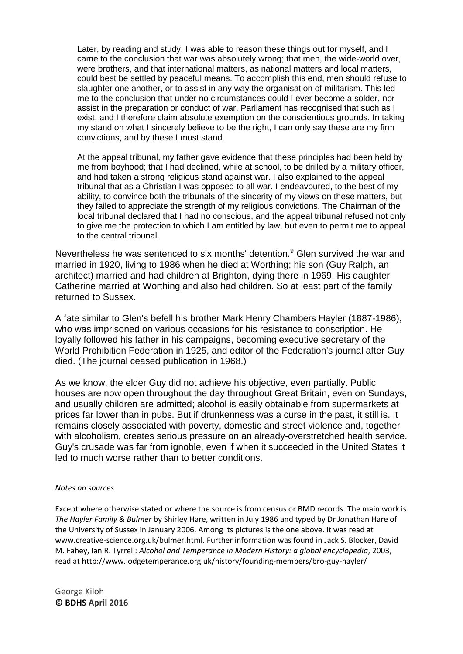Later, by reading and study, I was able to reason these things out for myself, and I came to the conclusion that war was absolutely wrong; that men, the wide-world over, were brothers, and that international matters, as national matters and local matters, could best be settled by peaceful means. To accomplish this end, men should refuse to slaughter one another, or to assist in any way the organisation of militarism. This led me to the conclusion that under no circumstances could I ever become a solder, nor assist in the preparation or conduct of war. Parliament has recognised that such as I exist, and I therefore claim absolute exemption on the conscientious grounds. In taking my stand on what I sincerely believe to be the right, I can only say these are my firm convictions, and by these I must stand.

At the appeal tribunal, my father gave evidence that these principles had been held by me from boyhood; that I had declined, while at school, to be drilled by a military officer, and had taken a strong religious stand against war. I also explained to the appeal tribunal that as a Christian I was opposed to all war. I endeavoured, to the best of my ability, to convince both the tribunals of the sincerity of my views on these matters, but they failed to appreciate the strength of my religious convictions. The Chairman of the local tribunal declared that I had no conscious, and the appeal tribunal refused not only to give me the protection to which I am entitled by law, but even to permit me to appeal to the central tribunal.

Nevertheless he was sentenced to six months' detention.<sup>9</sup> Glen survived the war and married in 1920, living to 1986 when he died at Worthing; his son (Guy Ralph, an architect) married and had children at Brighton, dying there in 1969. His daughter Catherine married at Worthing and also had children. So at least part of the family returned to Sussex.

A fate similar to Glen's befell his brother Mark Henry Chambers Hayler (1887-1986), who was imprisoned on various occasions for his resistance to conscription. He loyally followed his father in his campaigns, becoming executive secretary of the World Prohibition Federation in 1925, and editor of the Federation's journal after Guy died. (The journal ceased publication in 1968.)

As we know, the elder Guy did not achieve his objective, even partially. Public houses are now open throughout the day throughout Great Britain, even on Sundays, and usually children are admitted; alcohol is easily obtainable from supermarkets at prices far lower than in pubs. But if drunkenness was a curse in the past, it still is. It remains closely associated with poverty, domestic and street violence and, together with alcoholism, creates serious pressure on an already-overstretched health service. Guy's crusade was far from ignoble, even if when it succeeded in the United States it led to much worse rather than to better conditions.

## *Notes on sources*

Except where otherwise stated or where the source is from census or BMD records. The main work is *The Hayler Family & Bulmer* by Shirley Hare, written in July 1986 and typed by Dr Jonathan Hare of the University of Sussex in January 2006. Among its pictures is the one above. It was read at [www.creative-science.org.uk/bulmer.html.](http://www.creative-science.org.uk/bulmer.html) Further information was found in Jack S. Blocker, David M. Fahey, Ian R. Tyrrell: *Alcohol and Temperance in Modern History: a global encyclopedia*, 2003, read at<http://www.lodgetemperance.org.uk/history/founding-members/bro-guy-hayler/>

George Kiloh **© BDHS April 2016**